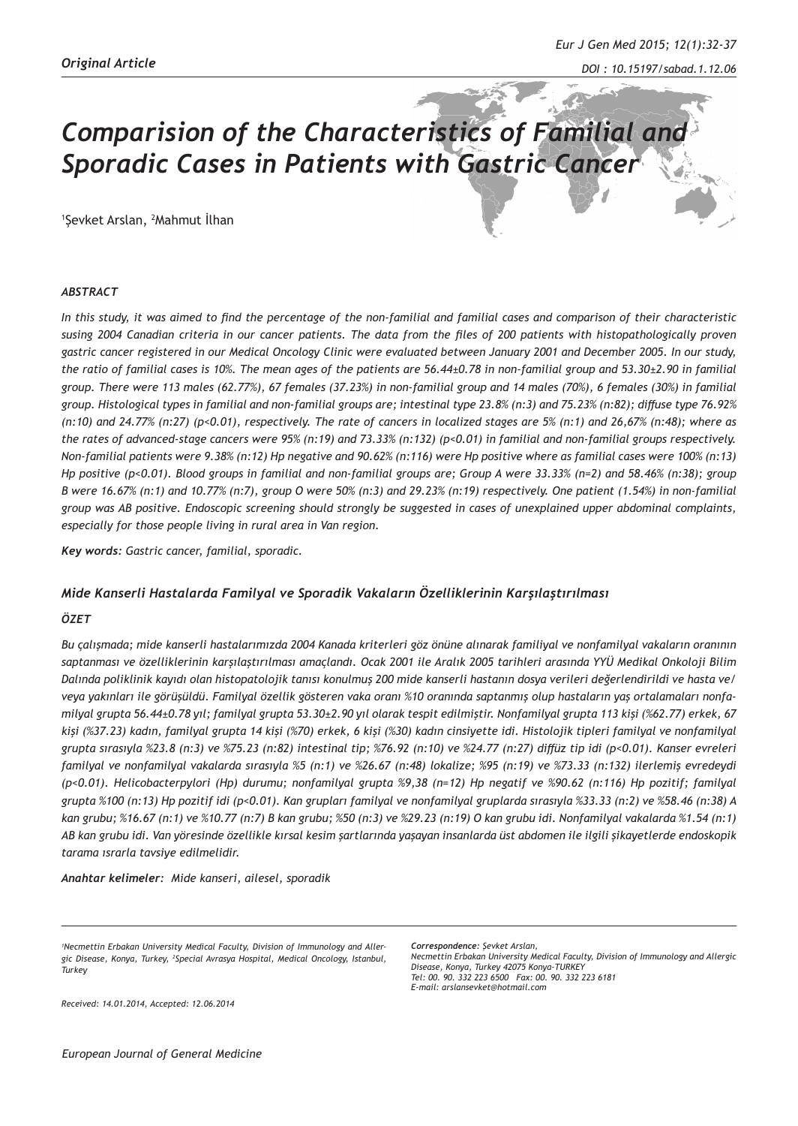# *Comparision of the Characteristics of Familial and Sporadic Cases in Patients with Gastric Cancer*

1 Şevket Arslan, <sup>2</sup> Mahmut İlhan

#### *ABSTRACT*

*In this study, it was aimed to find the percentage of the non-familial and familial cases and comparison of their characteristic susing 2004 Canadian criteria in our cancer patients. The data from the files of 200 patients with histopathologically proven gastric cancer registered in our Medical Oncology Clinic were evaluated between January 2001 and December 2005. In our study, the ratio of familial cases is 10%. The mean ages of the patients are 56.44±0.78 in non-familial group and 53.30±2.90 in familial group. There were 113 males (62.77%), 67 females (37.23%) in non-familial group and 14 males (70%), 6 females (30%) in familial group. Histological types in familial and non-familial groups are; intestinal type 23.8% (n:3) and 75.23% (n:82); diffuse type 76.92% (n:10) and 24.77% (n:27) (p<0.01), respectively. The rate of cancers in localized stages are 5% (n:1) and 26,67% (n:48); where as the rates of advanced-stage cancers were 95% (n:19) and 73.33% (n:132) (p<0.01) in familial and non-familial groups respectively. Non-familial patients were 9.38% (n:12) Hp negative and 90.62% (n:116) were Hp positive where as familial cases were 100% (n:13) Hp positive (p<0.01). Blood groups in familial and non-familial groups are; Group A were 33.33% (n=2) and 58.46% (n:38); group B were 16.67% (n:1) and 10.77% (n:7), group O were 50% (n:3) and 29.23% (n:19) respectively. One patient (1.54%) in non-familial group was AB positive. Endoscopic screening should strongly be suggested in cases of unexplained upper abdominal complaints, especially for those people living in rural area in Van region.*

*Key words: Gastric cancer, familial, sporadic.*

## *Mide Kanserli Hastalarda Familyal ve Sporadik Vakaların Özelliklerinin Karşılaştırılması*

#### *ÖZET*

*Bu çalışmada; mide kanserli hastalarımızda 2004 Kanada kriterleri göz önüne alınarak familiyal ve nonfamilyal vakaların oranının saptanması ve özelliklerinin karşılaştırılması amaçlandı. Ocak 2001 ile Aralık 2005 tarihleri arasında YYÜ Medikal Onkoloji Bilim Dalında poliklinik kayıdı olan histopatolojik tanısı konulmuş 200 mide kanserli hastanın dosya verileri değerlendirildi ve hasta ve/ veya yakınları ile görüşüldü. Familyal özellik gösteren vaka oranı %10 oranında saptanmış olup hastaların yaş ortalamaları nonfamilyal grupta 56.44±0.78 yıl; familyal grupta 53.30±2.90 yıl olarak tespit edilmiştir. Nonfamilyal grupta 113 kişi (%62.77) erkek, 67 kişi (%37.23) kadın, familyal grupta 14 kişi (%70) erkek, 6 kişi (%30) kadın cinsiyette idi. Histolojik tipleri familyal ve nonfamilyal grupta sırasıyla %23.8 (n:3) ve %75.23 (n:82) intestinal tip; %76.92 (n:10) ve %24.77 (n:27) diffüz tip idi (p<0.01). Kanser evreleri familyal ve nonfamilyal vakalarda sırasıyla %5 (n:1) ve %26.67 (n:48) lokalize; %95 (n:19) ve %73.33 (n:132) ilerlemiş evredeydi (p<0.01). Helicobacterpylori (Hp) durumu; nonfamilyal grupta %9,38 (n=12) Hp negatif ve %90.62 (n:116) Hp pozitif; familyal grupta %100 (n:13) Hp pozitif idi (p<0.01). Kan grupları familyal ve nonfamilyal gruplarda sırasıyla %33.33 (n:2) ve %58.46 (n:38) A kan grubu; %16.67 (n:1) ve %10.77 (n:7) B kan grubu; %50 (n:3) ve %29.23 (n:19) O kan grubu idi. Nonfamilyal vakalarda %1.54 (n:1) AB kan grubu idi. Van yöresinde özellikle kırsal kesim şartlarında yaşayan insanlarda üst abdomen ile ilgili şikayetlerde endoskopik tarama ısrarla tavsiye edilmelidir.*

*Anahtar kelimeler: Mide kanseri, ailesel, sporadik*

*1 Necmettin Erbakan University Medical Faculty, Division of Immunology and Allergic Disease, Konya, Turkey, 2 Special Avrasya Hospital, Medical Oncology, Istanbul, Turkey*

*Correspondence: Şevket Arslan, Necmettin Erbakan University Medical Faculty, Division of Immunology and Allergic Disease, Konya, Turkey 42075 Konya-TURKEY Tel: 00. 90. 332 223 6500 Fax: 00. 90. 332 223 6181 E-mail: arslansevket@hotmail.com*

*Received: 14.01.2014, Accepted: 12.06.2014*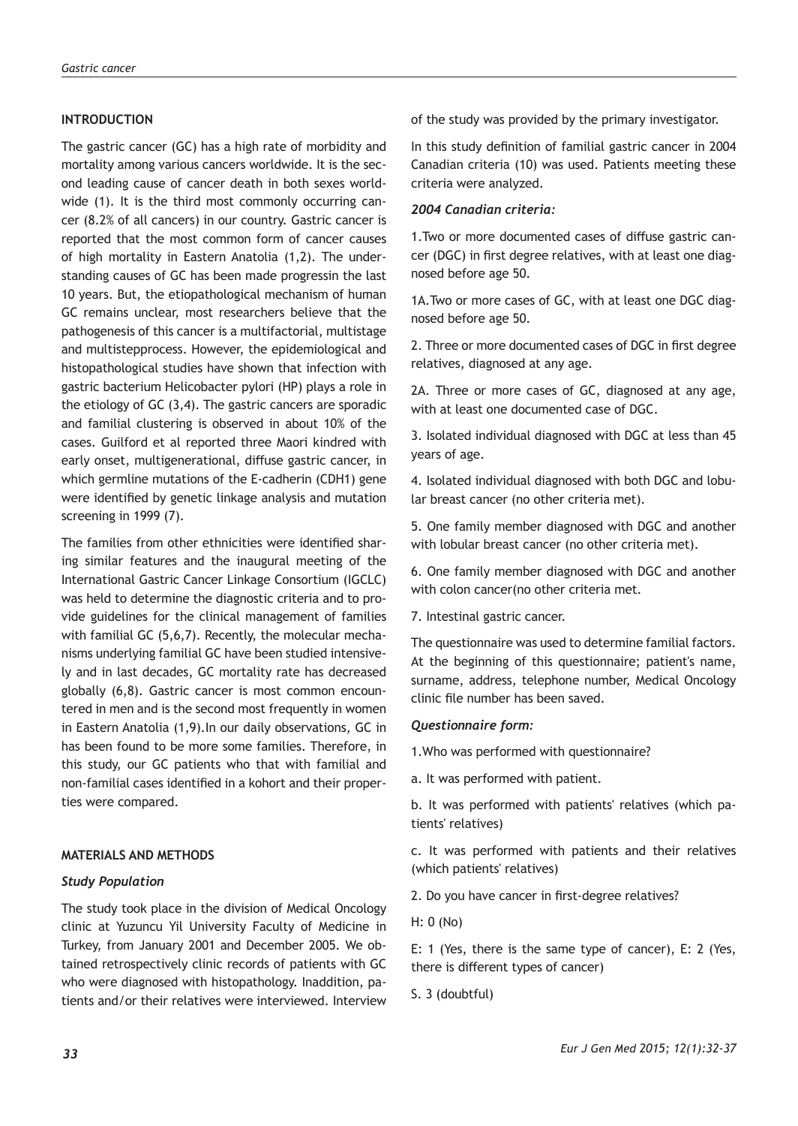# **INTRODUCTION**

The gastric cancer (GC) has a high rate of morbidity and mortality among various cancers worldwide. It is the second leading cause of cancer death in both sexes worldwide (1). It is the third most commonly occurring cancer (8.2% of all cancers) in our country. Gastric cancer is reported that the most common form of cancer causes of high mortality in Eastern Anatolia (1,2). The understanding causes of GC has been made progressin the last 10 years. But, the etiopathological mechanism of human GC remains unclear, most researchers believe that the pathogenesis of this cancer is a multifactorial, multistage and multistepprocess. However, the epidemiological and histopathological studies have shown that infection with gastric bacterium Helicobacter pylori (HP) plays a role in the etiology of GC (3,4). The gastric cancers are sporadic and familial clustering is observed in about 10% of the cases. Guilford et al reported three Maori kindred with early onset, multigenerational, diffuse gastric cancer, in which germline mutations of the E-cadherin (CDH1) gene were identified by genetic linkage analysis and mutation screening in 1999 (7).

The families from other ethnicities were identified sharing similar features and the inaugural meeting of the International Gastric Cancer Linkage Consortium (IGCLC) was held to determine the diagnostic criteria and to provide guidelines for the clinical management of families with familial GC (5,6,7). Recently, the molecular mechanisms underlying familial GC have been studied intensively and in last decades, GC mortality rate has decreased globally (6,8). Gastric cancer is most common encountered in men and is the second most frequently in women in Eastern Anatolia (1,9).In our daily observations, GC in has been found to be more some families. Therefore, in this study, our GC patients who that with familial and non-familial cases identified in a kohort and their properties were compared.

# **MATERIALS AND METHODS**

## *Study Population*

The study took place in the division of Medical Oncology clinic at Yuzuncu Yil University Faculty of Medicine in Turkey, from January 2001 and December 2005. We obtained retrospectively clinic records of patients with GC who were diagnosed with histopathology. Inaddition, patients and/or their relatives were interviewed. Interview of the study was provided by the primary investigator.

In this study definition of familial gastric cancer in 2004 Canadian criteria (10) was used. Patients meeting these criteria were analyzed.

## *2004 Canadian criteria:*

1.Two or more documented cases of diffuse gastric cancer (DGC) in first degree relatives, with at least one diagnosed before age 50.

1A.Two or more cases of GC, with at least one DGC diagnosed before age 50.

2. Three or more documented cases of DGC in first degree relatives, diagnosed at any age.

2A. Three or more cases of GC, diagnosed at any age, with at least one documented case of DGC.

3. Isolated individual diagnosed with DGC at less than 45 years of age.

4. Isolated individual diagnosed with both DGC and lobular breast cancer (no other criteria met).

5. One family member diagnosed with DGC and another with lobular breast cancer (no other criteria met).

6. One family member diagnosed with DGC and another with colon cancer(no other criteria met.

7. Intestinal gastric cancer.

The questionnaire was used to determine familial factors. At the beginning of this questionnaire; patient's name, surname, address, telephone number, Medical Oncology clinic file number has been saved.

## *Questionnaire form:*

1.Who was performed with questionnaire?

a. It was performed with patient.

b. It was performed with patients' relatives (which patients' relatives)

c. It was performed with patients and their relatives (which patients' relatives)

2. Do you have cancer in first-degree relatives?

H: 0 (No)

E: 1 (Yes, there is the same type of cancer), E: 2 (Yes, there is different types of cancer)

S. 3 (doubtful)

*Eur J Gen Med 2015; 12(1):32-37*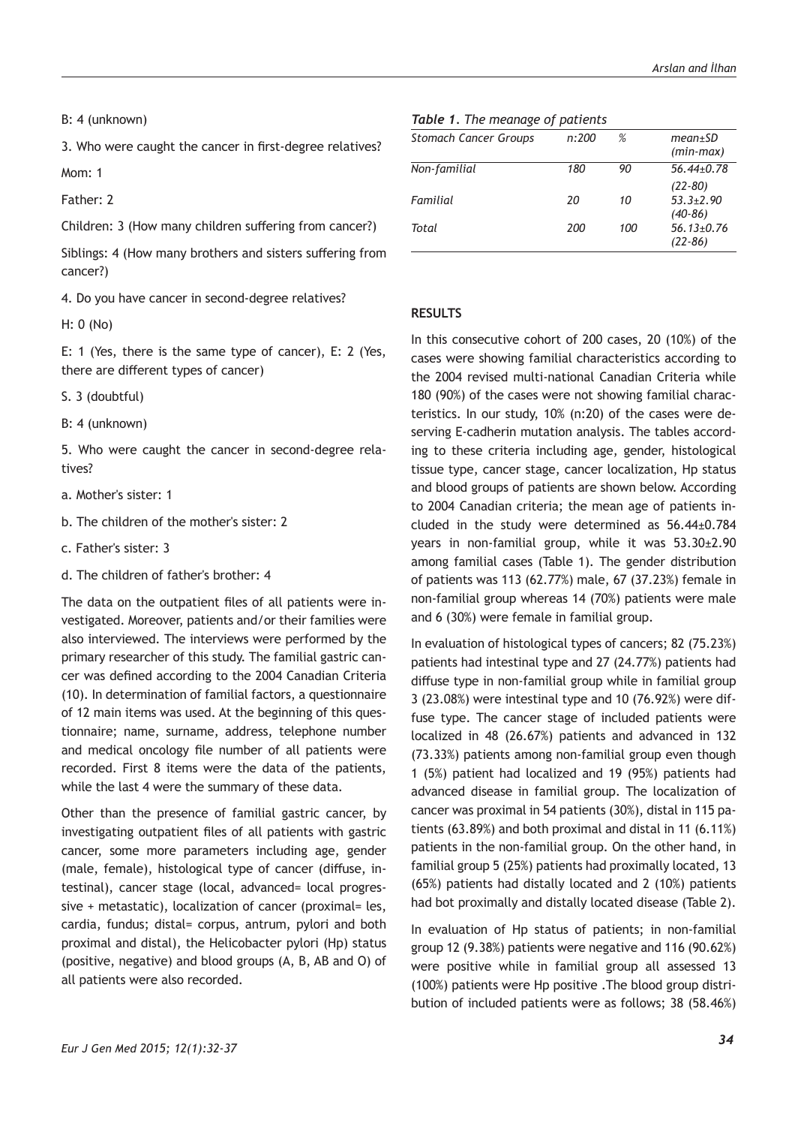B: 4 (unknown)

3. Who were caught the cancer in first-degree relatives?

Mom: 1

Father: 2

Children: 3 (How many children suffering from cancer?)

Siblings: 4 (How many brothers and sisters suffering from cancer?)

4. Do you have cancer in second-degree relatives?

H: 0 (No)

E: 1 (Yes, there is the same type of cancer), E: 2 (Yes, there are different types of cancer)

S. 3 (doubtful)

B: 4 (unknown)

5. Who were caught the cancer in second-degree relatives?

- a. Mother's sister: 1
- b. The children of the mother's sister: 2
- c. Father's sister: 3
- d. The children of father's brother: 4

The data on the outpatient files of all patients were investigated. Moreover, patients and/or their families were also interviewed. The interviews were performed by the primary researcher of this study. The familial gastric cancer was defined according to the 2004 Canadian Criteria (10). In determination of familial factors, a questionnaire of 12 main items was used. At the beginning of this questionnaire; name, surname, address, telephone number and medical oncology file number of all patients were recorded. First 8 items were the data of the patients, while the last 4 were the summary of these data.

Other than the presence of familial gastric cancer, by investigating outpatient files of all patients with gastric cancer, some more parameters including age, gender (male, female), histological type of cancer (diffuse, intestinal), cancer stage (local, advanced= local progressive + metastatic), localization of cancer (proximal= les, cardia, fundus; distal= corpus, antrum, pylori and both proximal and distal), the Helicobacter pylori (Hp) status (positive, negative) and blood groups (A, B, AB and O) of all patients were also recorded.

#### *Table 1. The meanage of patients*

| <b>Stomach Cancer Groups</b> | n:200 | %   | $mean \pm SD$<br>$(min-max)$                |
|------------------------------|-------|-----|---------------------------------------------|
| Non-familial                 | 180   | 90  | $56.44 + 0.78$                              |
| Familial                     | 20    | 10  | $(22 - 80)$<br>$53.3 \pm 2.90$<br>$(40-86)$ |
| Total                        | 200   | 100 | $56.13+0.76$<br>(22-86)                     |

#### **RESULTS**

In this consecutive cohort of 200 cases, 20 (10%) of the cases were showing familial characteristics according to the 2004 revised multi-national Canadian Criteria while 180 (90%) of the cases were not showing familial characteristics. In our study, 10% (n:20) of the cases were deserving E-cadherin mutation analysis. The tables according to these criteria including age, gender, histological tissue type, cancer stage, cancer localization, Hp status and blood groups of patients are shown below. According to 2004 Canadian criteria; the mean age of patients included in the study were determined as 56.44±0.784 years in non-familial group, while it was 53.30±2.90 among familial cases (Table 1). The gender distribution of patients was 113 (62.77%) male, 67 (37.23%) female in non-familial group whereas 14 (70%) patients were male and 6 (30%) were female in familial group.

In evaluation of histological types of cancers; 82 (75.23%) patients had intestinal type and 27 (24.77%) patients had diffuse type in non-familial group while in familial group 3 (23.08%) were intestinal type and 10 (76.92%) were diffuse type. The cancer stage of included patients were localized in 48 (26.67%) patients and advanced in 132 (73.33%) patients among non-familial group even though 1 (5%) patient had localized and 19 (95%) patients had advanced disease in familial group. The localization of cancer was proximal in 54 patients (30%), distal in 115 patients (63.89%) and both proximal and distal in 11 (6.11%) patients in the non-familial group. On the other hand, in familial group 5 (25%) patients had proximally located, 13 (65%) patients had distally located and 2 (10%) patients had bot proximally and distally located disease (Table 2).

In evaluation of Hp status of patients; in non-familial group 12 (9.38%) patients were negative and 116 (90.62%) were positive while in familial group all assessed 13 (100%) patients were Hp positive .The blood group distribution of included patients were as follows; 38 (58.46%)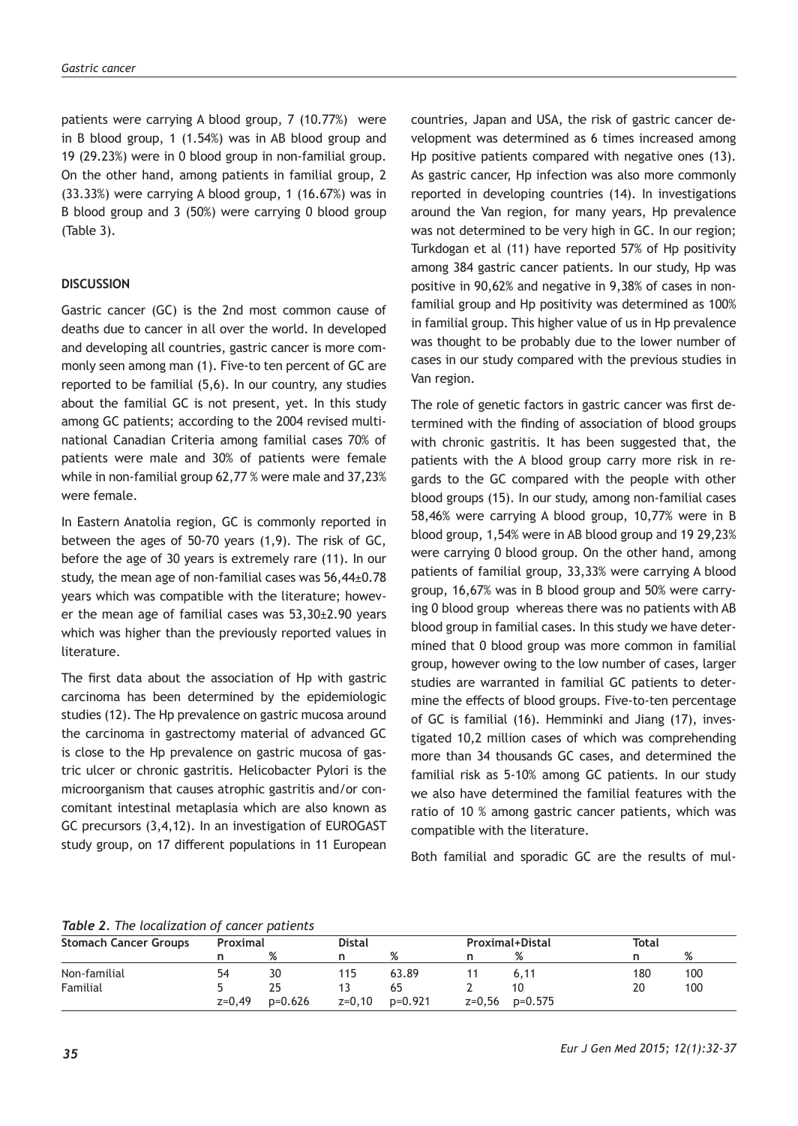patients were carrying A blood group, 7 (10.77%) were in B blood group, 1 (1.54%) was in AB blood group and 19 (29.23%) were in 0 blood group in non-familial group. On the other hand, among patients in familial group, 2 (33.33%) were carrying A blood group, 1 (16.67%) was in B blood group and 3 (50%) were carrying 0 blood group (Table 3).

# **DISCUSSION**

Gastric cancer (GC) is the 2nd most common cause of deaths due to cancer in all over the world. In developed and developing all countries, gastric cancer is more commonly seen among man (1). Five-to ten percent of GC are reported to be familial (5,6). In our country, any studies about the familial GC is not present, yet. In this study among GC patients; according to the 2004 revised multinational Canadian Criteria among familial cases 70% of patients were male and 30% of patients were female while in non-familial group 62,77 % were male and 37,23% were female.

In Eastern Anatolia region, GC is commonly reported in between the ages of 50-70 years (1,9). The risk of GC, before the age of 30 years is extremely rare (11). In our study, the mean age of non-familial cases was 56,44±0.78 years which was compatible with the literature; however the mean age of familial cases was 53,30±2.90 years which was higher than the previously reported values in literature.

The first data about the association of Hp with gastric carcinoma has been determined by the epidemiologic studies (12). The Hp prevalence on gastric mucosa around the carcinoma in gastrectomy material of advanced GC is close to the Hp prevalence on gastric mucosa of gastric ulcer or chronic gastritis. Helicobacter Pylori is the microorganism that causes atrophic gastritis and/or concomitant intestinal metaplasia which are also known as GC precursors (3,4,12). In an investigation of EUROGAST study group, on 17 different populations in 11 European countries, Japan and USA, the risk of gastric cancer development was determined as 6 times increased among Hp positive patients compared with negative ones (13). As gastric cancer, Hp infection was also more commonly reported in developing countries (14). In investigations around the Van region, for many years, Hp prevalence was not determined to be very high in GC. In our region; Turkdogan et al (11) have reported 57% of Hp positivity among 384 gastric cancer patients. In our study, Hp was positive in 90,62% and negative in 9,38% of cases in nonfamilial group and Hp positivity was determined as 100% in familial group. This higher value of us in Hp prevalence was thought to be probably due to the lower number of cases in our study compared with the previous studies in Van region.

The role of genetic factors in gastric cancer was first determined with the finding of association of blood groups with chronic gastritis. It has been suggested that, the patients with the A blood group carry more risk in regards to the GC compared with the people with other blood groups (15). In our study, among non-familial cases 58,46% were carrying A blood group, 10,77% were in B blood group, 1,54% were in AB blood group and 19 29,23% were carrying 0 blood group. On the other hand, among patients of familial group, 33,33% were carrying A blood group, 16,67% was in B blood group and 50% were carrying 0 blood group whereas there was no patients with AB blood group in familial cases. In this study we have determined that 0 blood group was more common in familial group, however owing to the low number of cases, larger studies are warranted in familial GC patients to determine the effects of blood groups. Five-to-ten percentage of GC is familial (16). Hemminki and Jiang (17), investigated 10,2 million cases of which was comprehending more than 34 thousands GC cases, and determined the familial risk as 5-10% among GC patients. In our study we also have determined the familial features with the ratio of 10 % among gastric cancer patients, which was compatible with the literature.

Both familial and sporadic GC are the results of mul-

*Table 2. The localization of cancer patients*

| <b>Stomach Cancer Groups</b> |          | Proximal |        | <b>Distal</b> |  | <b>Proximal+Distal</b> |     | Total |  |
|------------------------------|----------|----------|--------|---------------|--|------------------------|-----|-------|--|
|                              |          | %        |        | %             |  | %                      |     | %     |  |
| Non-familial                 | 54       | 30       | 115    | 63.89         |  | 6.11                   | 180 | 100   |  |
| Familial                     |          | 25       |        | 65            |  | 10                     | 20  | 100   |  |
|                              | $z=0,49$ | p=0.626  | z=0.10 | p=0.921       |  | $z=0.56$ $p=0.575$     |     |       |  |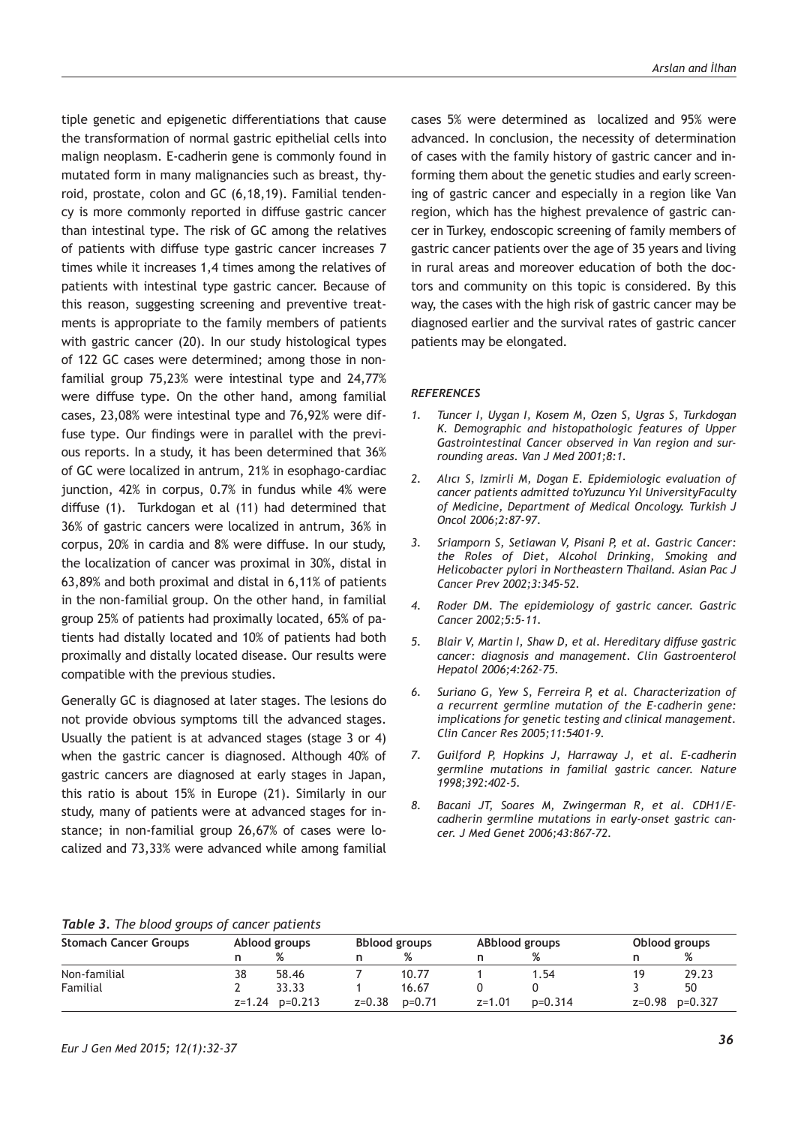tiple genetic and epigenetic differentiations that cause the transformation of normal gastric epithelial cells into malign neoplasm. E-cadherin gene is commonly found in mutated form in many malignancies such as breast, thyroid, prostate, colon and GC (6,18,19). Familial tendency is more commonly reported in diffuse gastric cancer than intestinal type. The risk of GC among the relatives of patients with diffuse type gastric cancer increases 7 times while it increases 1,4 times among the relatives of patients with intestinal type gastric cancer. Because of this reason, suggesting screening and preventive treatments is appropriate to the family members of patients with gastric cancer (20). In our study histological types of 122 GC cases were determined; among those in nonfamilial group 75,23% were intestinal type and 24,77% were diffuse type. On the other hand, among familial cases, 23,08% were intestinal type and 76,92% were diffuse type. Our findings were in parallel with the previous reports. In a study, it has been determined that 36% of GC were localized in antrum, 21% in esophago-cardiac junction, 42% in corpus, 0.7% in fundus while 4% were diffuse (1). Turkdogan et al (11) had determined that 36% of gastric cancers were localized in antrum, 36% in corpus, 20% in cardia and 8% were diffuse. In our study, the localization of cancer was proximal in 30%, distal in 63,89% and both proximal and distal in 6,11% of patients in the non-familial group. On the other hand, in familial group 25% of patients had proximally located, 65% of patients had distally located and 10% of patients had both proximally and distally located disease. Our results were compatible with the previous studies.

Generally GC is diagnosed at later stages. The lesions do not provide obvious symptoms till the advanced stages. Usually the patient is at advanced stages (stage 3 or 4) when the gastric cancer is diagnosed. Although 40% of gastric cancers are diagnosed at early stages in Japan, this ratio is about 15% in Europe (21). Similarly in our study, many of patients were at advanced stages for instance; in non-familial group 26,67% of cases were localized and 73,33% were advanced while among familial cases 5% were determined as localized and 95% were advanced. In conclusion, the necessity of determination of cases with the family history of gastric cancer and informing them about the genetic studies and early screening of gastric cancer and especially in a region like Van region, which has the highest prevalence of gastric cancer in Turkey, endoscopic screening of family members of gastric cancer patients over the age of 35 years and living in rural areas and moreover education of both the doctors and community on this topic is considered. By this way, the cases with the high risk of gastric cancer may be diagnosed earlier and the survival rates of gastric cancer patients may be elongated.

#### *REFERENCES*

- *1. Tuncer I, Uygan I, Kosem M, Ozen S, Ugras S, Turkdogan K. Demographic and histopathologic features of Upper Gastrointestinal Cancer observed in Van region and surrounding areas. Van J Med 2001;8:1.*
- *2. Alıcı S, Izmirli M, Dogan E. Epidemiologic evaluation of cancer patients admitted toYuzuncu Yıl UniversityFaculty of Medicine, Department of Medical Oncology. Turkish J Oncol 2006;2:87-97.*
- *3. Sriamporn S, Setiawan V, Pisani P, et al. Gastric Cancer: the Roles of Diet, Alcohol Drinking, Smoking and Helicobacter pylori in Northeastern Thailand. Asian Pac J Cancer Prev 2002;3:345-52.*
- *4. Roder DM. The epidemiology of gastric cancer. Gastric Cancer 2002;5:5-11.*
- *5. Blair V, Martin I, Shaw D, et al. Hereditary diffuse gastric cancer: diagnosis and management. Clin Gastroenterol Hepatol 2006;4:262-75.*
- *6. Suriano G, Yew S, Ferreira P, et al. Characterization of a recurrent germline mutation of the E-cadherin gene: implications for genetic testing and clinical management. Clin Cancer Res 2005;11:5401-9.*
- *7. Guilford P, Hopkins J, Harraway J, et al. E-cadherin germline mutations in familial gastric cancer. Nature 1998;392:402-5.*
- *8. Bacani JT, Soares M, Zwingerman R, et al. CDH1/Ecadherin germline mutations in early-onset gastric cancer. J Med Genet 2006;43:867-72.*

#### *Table 3. The blood groups of cancer patients*

| <b>Stomach Cancer Groups</b> |    | Ablood groups  |          | <b>Bblood groups</b> |            | ABblood groups |    | Oblood groups      |  |
|------------------------------|----|----------------|----------|----------------------|------------|----------------|----|--------------------|--|
|                              |    | %              |          | %                    |            | %              |    | %                  |  |
| Non-familial                 | 38 | 58.46          |          | 10.77                |            | 1.54           | 19 | 29.23              |  |
| Familial                     |    | 33.33          |          | 16.67                |            |                |    | 50                 |  |
|                              |    | z=1.24 p=0.213 | $z=0.38$ | $p=0.71$             | $z = 1.01$ | $p=0.314$      |    | $z=0.98$ $p=0.327$ |  |